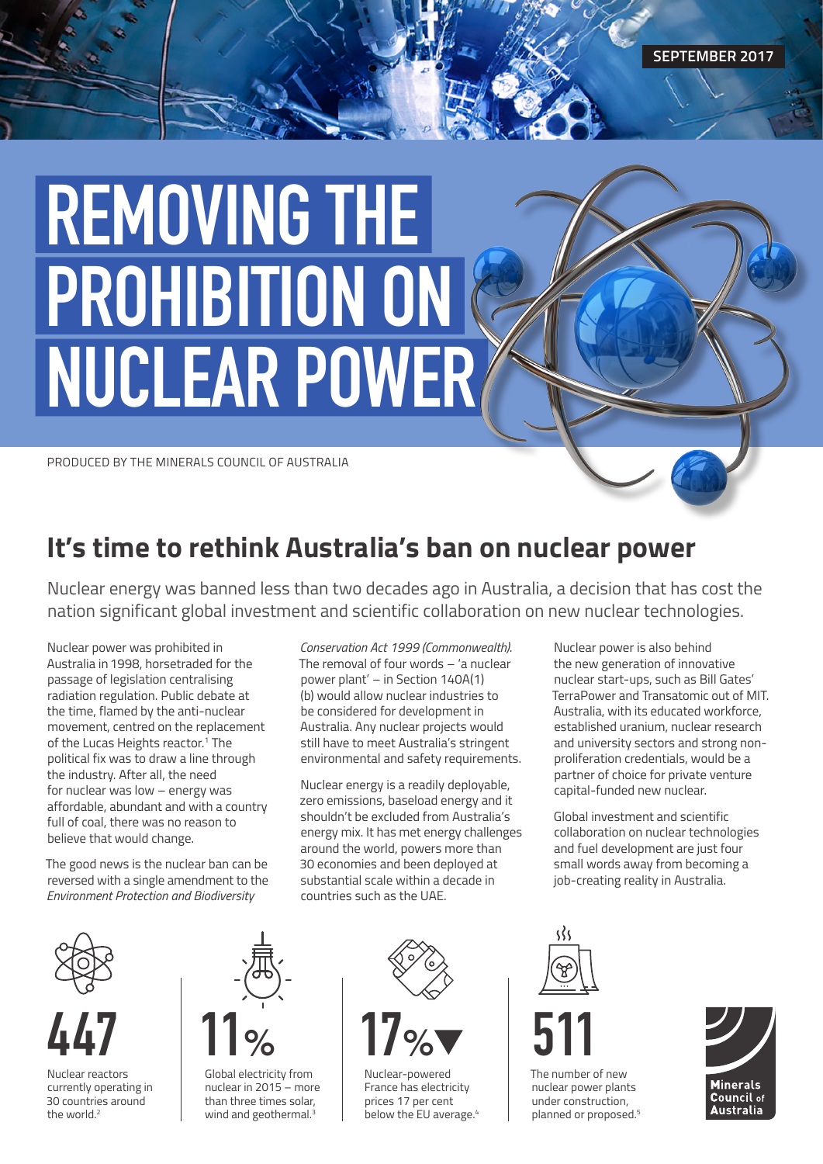# REMOVING THE PROHIBITION ON NUCLEAR POWER

PRODUCED BY THE MINERALS COUNCIL OF AUSTRALIA

## **It's time to rethink Australia's ban on nuclear power**

Nuclear energy was banned less than two decades ago in Australia, a decision that has cost the nation significant global investment and scientific collaboration on new nuclear technologies.

Nuclear power was prohibited in Australia in 1998, horsetraded for the passage of legislation centralising radiation regulation. Public debate at the time, flamed by the anti-nuclear movement, centred on the replacement of the Lucas Heights reactor.<sup>1</sup> The political fix was to draw a line through the industry. After all, the need for nuclear was low – energy was affordable, abundant and with a country full of coal, there was no reason to believe that would change.

The good news is the nuclear ban can be reversed with a single amendment to the *Environment Protection and Biodiversity* 

*Conservation Act 1999 (Commonwealth)*. The removal of four words – 'a nuclear power plant' – in Section 140A(1) (b) would allow nuclear industries to be considered for development in Australia. Any nuclear projects would still have to meet Australia's stringent environmental and safety requirements.

Nuclear energy is a readily deployable, zero emissions, baseload energy and it shouldn't be excluded from Australia's energy mix. It has met energy challenges around the world, powers more than 30 economies and been deployed at substantial scale within a decade in countries such as the UAE.

Nuclear power is also behind the new generation of innovative nuclear start-ups, such as Bill Gates' TerraPower and Transatomic out of MIT. Australia, with its educated workforce, established uranium, nuclear research and university sectors and strong nonproliferation credentials, would be a partner of choice for private venture capital-funded new nuclear.

Global investment and scientific collaboration on nuclear technologies and fuel development are just four small words away from becoming a job-creating reality in Australia.



Nuclear reactors currently operating in 30 countries around the world.<sup>2</sup>



Global electricity from nuclear in 2015 – more than three times solar, wind and geothermal.<sup>3</sup>



Nuclear-powered France has electricity prices 17 per cent below the EU average.<sup>4</sup>



The number of new nuclear power plants under construction, planned or proposed.5

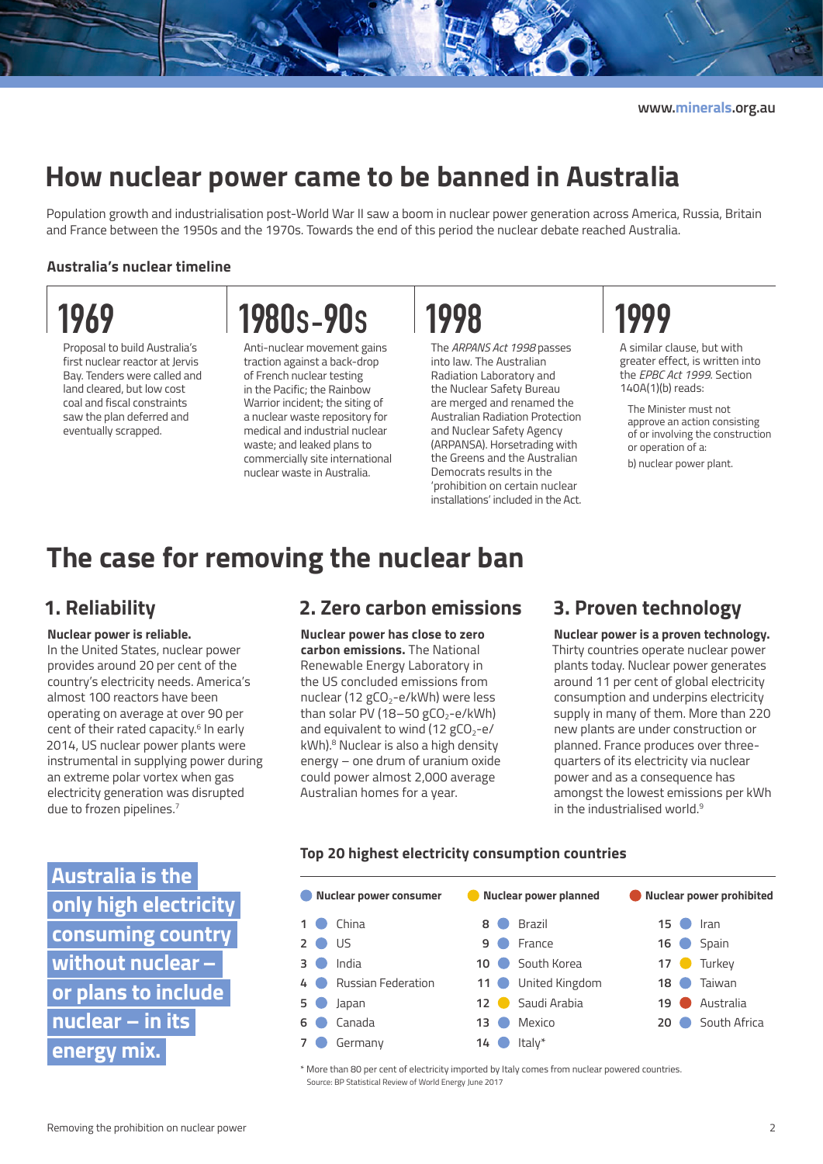### **How nuclear power came to be banned in Australia**

Population growth and industrialisation post-World War II saw a boom in nuclear power generation across America, Russia, Britain and France between the 1950s and the 1970s. Towards the end of this period the nuclear debate reached Australia.

#### **Australia's nuclear timeline**

# 1969

Proposal to build Australia's first nuclear reactor at Jervis Bay. Tenders were called and land cleared, but low cost coal and fiscal constraints saw the plan deferred and eventually scrapped.

# 1980S-90S

Anti-nuclear movement gains traction against a back-drop of French nuclear testing in the Pacific; the Rainbow Warrior incident; the siting of a nuclear waste repository for medical and industrial nuclear waste; and leaked plans to commercially site international nuclear waste in Australia.

# 1998

The *ARPANS Act 1998* passes into law. The Australian Radiation Laboratory and the Nuclear Safety Bureau are merged and renamed the Australian Radiation Protection and Nuclear Safety Agency (ARPANSA). Horsetrading with the Greens and the Australian Democrats results in the 'prohibition on certain nuclear installations' included in the Act.

# 1999

A similar clause, but with greater effect, is written into the *EPBC Act 1999*. Section 140A(1)(b) reads:

The Minister must not approve an action consisting of or involving the construction or operation of a:

b) nuclear power plant.

### **The case for removing the nuclear ban**

#### **1. Reliability**

#### **Nuclear power is reliable.**

In the United States, nuclear power provides around 20 per cent of the country's electricity needs. America's almost 100 reactors have been operating on average at over 90 per cent of their rated capacity.<sup>6</sup> In early 2014, US nuclear power plants were instrumental in supplying power during an extreme polar vortex when gas electricity generation was disrupted due to frozen pipelines.<sup>7</sup>

**Australia is the only high electricity consuming country without nuclear – or plans to include nuclear – in its energy mix.**

#### **2. Zero carbon emissions**

**Nuclear power has close to zero carbon emissions.** The National Renewable Energy Laboratory in the US concluded emissions from nuclear (12  $gCO<sub>2</sub>-e/kWh$ ) were less than solar PV (18-50 gCO<sub>2</sub>-e/kWh) and equivalent to wind (12  $gCO<sub>2</sub>-e/$ kWh).<sup>8</sup> Nuclear is also a high density energy – one drum of uranium oxide could power almost 2,000 average Australian homes for a year.

#### **3. Proven technology**

**Nuclear power is a proven technology.**  Thirty countries operate nuclear power plants today. Nuclear power generates around 11 per cent of global electricity consumption and underpins electricity supply in many of them. More than 220 new plants are under construction or planned. France produces over threequarters of its electricity via nuclear power and as a consequence has amongst the lowest emissions per kWh in the industrialised world.<sup>9</sup>

#### **Nuclear power consumer CONUCLEARY DISCOME IN A PULLEARY POWER POWER PROPERTY 1** China **2** US **3** India **4** Russian Federation **5** Japan **6** Canada **7** Germany **8** Brazil **9** France  **10** South Korea  **11** United Kingdom  **12** Saudi Arabia  **13** Mexico  **14** Italy\* **15** Iran  **16** Spain  **17** Turkey  **18** Taiwan  **19** Australia  **20** South Africa

\* More than 80 per cent of electricity imported by Italy comes from nuclear powered countries. Source: BP Statistical Review of World Energy June 2017

#### **Top 20 highest electricity consumption countries**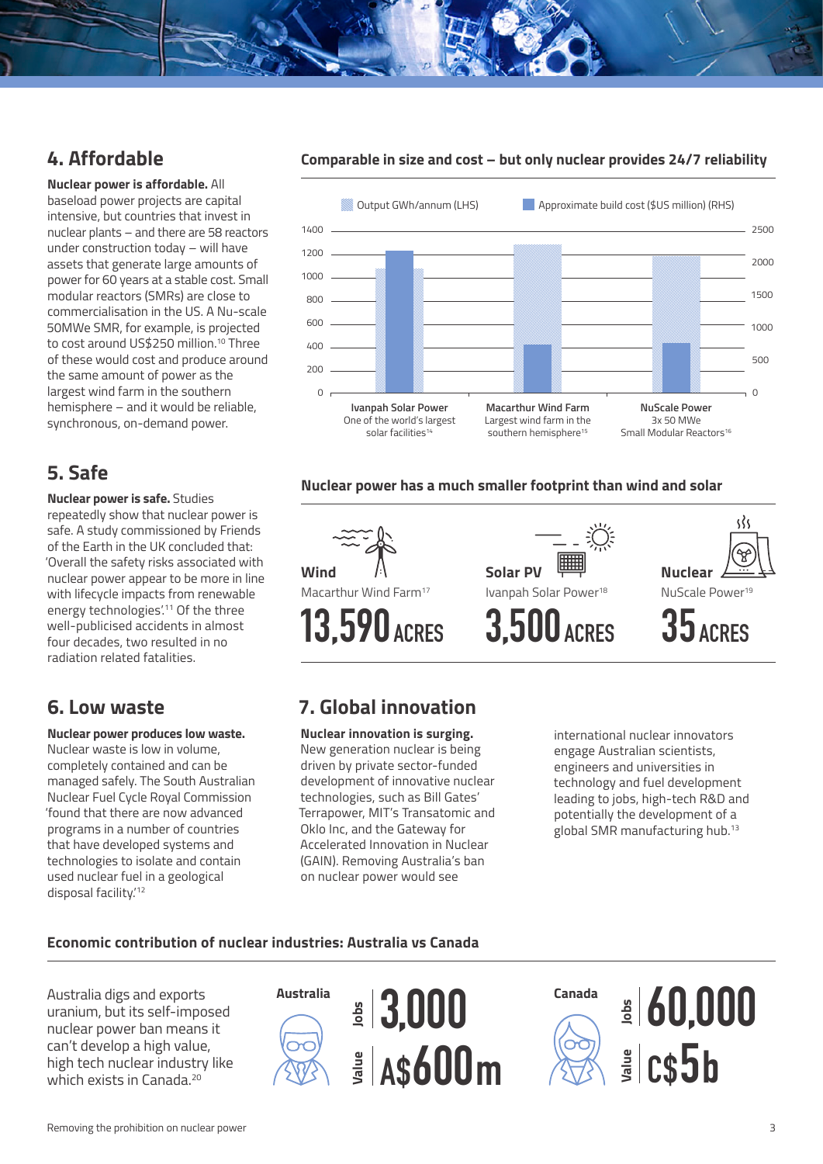#### **4. Affordable**

**Nuclear power is affordable.** All baseload power projects are capital intensive, but countries that invest in nuclear plants – and there are 58 reactors under construction today – will have assets that generate large amounts of power for 60 years at a stable cost. Small modular reactors (SMRs) are close to commercialisation in the US. A Nu-scale 50MWe SMR, for example, is projected to cost around US\$250 million.10 Three of these would cost and produce around the same amount of power as the largest wind farm in the southern hemisphere – and it would be reliable, synchronous, on-demand power.

#### **5. Safe**

**Nuclear power is safe.** Studies repeatedly show that nuclear power is safe. A study commissioned by Friends of the Earth in the UK concluded that: 'Overall the safety risks associated with nuclear power appear to be more in line with lifecycle impacts from renewable energy technologies'.<sup>11</sup> Of the three well-publicised accidents in almost four decades, two resulted in no radiation related fatalities.

#### **6. Low waste**

#### **Nuclear power produces low waste.**

Nuclear waste is low in volume, completely contained and can be managed safely. The South Australian Nuclear Fuel Cycle Royal Commission 'found that there are now advanced programs in a number of countries that have developed systems and technologies to isolate and contain used nuclear fuel in a geological disposal facility.'12

#### **Comparable in size and cost – but only nuclear provides 24/7 reliability**



#### **Nuclear power has a much smaller footprint than wind and solar**



#### **7. Global innovation**

**Nuclear innovation is surging.**  New generation nuclear is being driven by private sector-funded development of innovative nuclear technologies, such as Bill Gates' Terrapower, MIT's Transatomic and Oklo Inc, and the Gateway for Accelerated Innovation in Nuclear (GAIN). Removing Australia's ban on nuclear power would see

international nuclear innovators engage Australian scientists, engineers and universities in technology and fuel development leading to jobs, high-tech R&D and potentially the development of a global SMR manufacturing hub.13

#### **Economic contribution of nuclear industries: Australia vs Canada**

Australia digs and exports uranium, but its self-imposed nuclear power ban means it can't develop a high value, high tech nuclear industry like which exists in Canada<sup>20</sup>





**Canada Jobs** 60,000 **Value** C\$5b